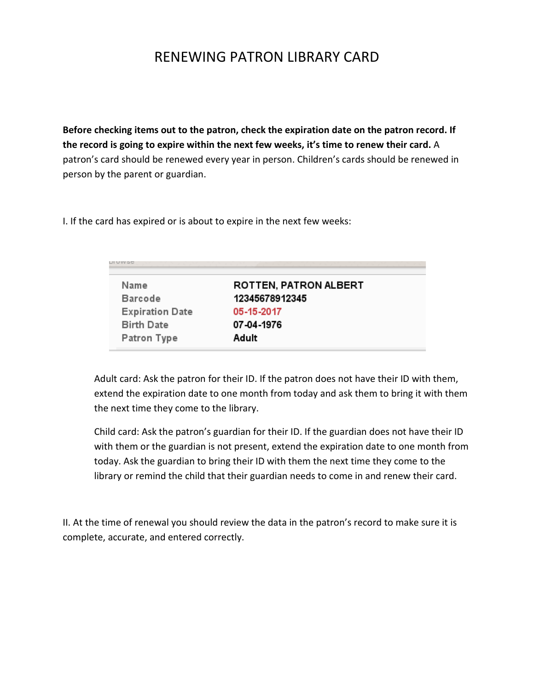# RENEWING PATRON LIBRARY CARD

**Before checking items out to the patron, check the expiration date on the patron record. If the record is going to expire within the next few weeks, it's time to renew their card.** A patron's card should be renewed every year in person. Children's cards should be renewed in person by the parent or guardian.

I. If the card has expired or is about to expire in the next few weeks:

| Name                   | <b>ROTTEN, PATRON ALBERT</b> |
|------------------------|------------------------------|
| <b>Barcode</b>         | 12345678912345               |
| <b>Expiration Date</b> | 05-15-2017                   |
| <b>Birth Date</b>      | 07-04-1976                   |
| Patron Type            | Adult                        |

Adult card: Ask the patron for their ID. If the patron does not have their ID with them, extend the expiration date to one month from today and ask them to bring it with them the next time they come to the library.

Child card: Ask the patron's guardian for their ID. If the guardian does not have their ID with them or the guardian is not present, extend the expiration date to one month from today. Ask the guardian to bring their ID with them the next time they come to the library or remind the child that their guardian needs to come in and renew their card.

II. At the time of renewal you should review the data in the patron's record to make sure it is complete, accurate, and entered correctly.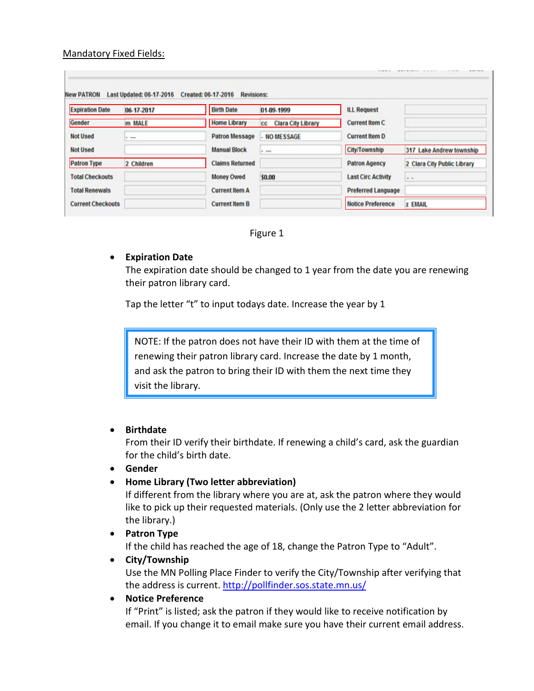## Mandatory Fixed Fields:

| <b>Expiration Date</b>   | 06-17-2017 | <b>Birth Date</b>      | 01-09-1999                      | <b>ILL Request</b>        |                             |
|--------------------------|------------|------------------------|---------------------------------|---------------------------|-----------------------------|
| Gender                   | m MALE     | <b>Home Library</b>    | <b>Clara City Library</b><br>CC | Current Item C            |                             |
| Not Used                 | $+ - + +$  | <b>Patron Message</b>  | - NO MESSAGE                    | <b>Current Item D</b>     |                             |
| <b>Not Used</b>          |            | <b>Manual Block</b>    | in man                          | City/Township             | 317 Lake Andrew township    |
| Patron Type              | 2 Children | <b>Claims Returned</b> |                                 | <b>Patron Agency</b>      | 2 Clara City Public Library |
| <b>Total Checkouts</b>   |            | Money Owed             | \$0.00                          | <b>Last Circ Activity</b> | $\ddot{ }$                  |
| <b>Total Renewals</b>    |            | <b>Current Item A</b>  |                                 | Preferred Language        |                             |
| <b>Current Checkouts</b> |            | <b>Current Item B</b>  |                                 | <b>Notice Preference</b>  | z EMAIL                     |

Figure 1

# • **Expiration Date**

The expiration date should be changed to 1 year from the date you are renewing their patron library card.

Tap the letter "t" to input todays date. Increase the year by 1

NOTE: If the patron does not have their ID with them at the time of renewing their patron library card. Increase the date by 1 month, and ask the patron to bring their ID with them the next time they visit the library.

# • **Birthdate**

From their ID verify their birthdate. If renewing a child's card, ask the guardian for the child's birth date.

#### • **Gender**

• **Home Library (Two letter abbreviation)**

If different from the library where you are at, ask the patron where they would like to pick up their requested materials. (Only use the 2 letter abbreviation for the library.)

• **Patron Type**

If the child has reached the age of 18, change the Patron Type to "Adult".

• **City/Township**

Use the MN Polling Place Finder to verify the City/Township after verifying that the address is current.<http://pollfinder.sos.state.mn.us/>

• **Notice Preference**

If "Print" is listed; ask the patron if they would like to receive notification by email. If you change it to email make sure you have their current email address.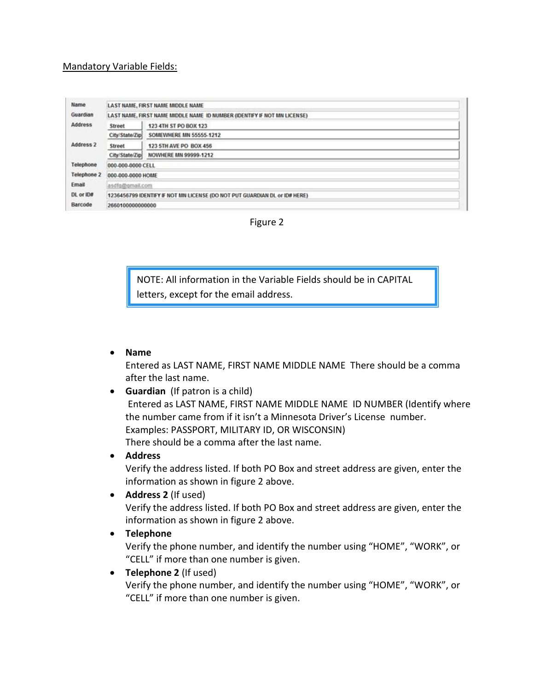#### Mandatory Variable Fields:

| Name               | LAST NAME, FIRST NAME MIDDLE NAME                                          |                              |  |  |
|--------------------|----------------------------------------------------------------------------|------------------------------|--|--|
| Guardian           | LAST NAME, FIRST NAME MIDDLE NAME ID NUMBER (IDENTIFY IF NOT MN LICENSE)   |                              |  |  |
| <b>Address</b>     | Street                                                                     | 123 4TH ST PO BOX 123        |  |  |
|                    | City/State/Zip                                                             | SOMEWHERE MN 55555-1212      |  |  |
| Address 2          | Street                                                                     | 123 5TH AVE PO BOX 456       |  |  |
|                    | City/State/Zip                                                             | <b>NOWHERE MN 99999-1212</b> |  |  |
| Telephone          | 000-000-0000 CELL                                                          |                              |  |  |
| <b>Telephone 2</b> | 000-000-0000 HOME                                                          |                              |  |  |
| Email              | asdfg@gmail.com                                                            |                              |  |  |
| DL or ID#          | 1236456799 IDENTIFY IF NOT MN LICENSE (DO NOT PUT GUARDIAN DL or ID# HERE) |                              |  |  |
| Barcode            | 2660100000000000                                                           |                              |  |  |

Figure 2

NOTE: All information in the Variable Fields should be in CAPITAL letters, except for the email address.

• **Name**

Entered as LAST NAME, FIRST NAME MIDDLE NAME There should be a comma after the last name.

- **Guardian** (If patron is a child) Entered as LAST NAME, FIRST NAME MIDDLE NAME ID NUMBER (Identify where the number came from if it isn't a Minnesota Driver's License number. Examples: PASSPORT, MILITARY ID, OR WISCONSIN) There should be a comma after the last name.
- **Address**

Verify the address listed. If both PO Box and street address are given, enter the information as shown in figure 2 above.

• **Address 2** (If used)

Verify the address listed. If both PO Box and street address are given, enter the information as shown in figure 2 above.

• **Telephone**

Verify the phone number, and identify the number using "HOME", "WORK", or "CELL" if more than one number is given.

• **Telephone 2** (If used)

Verify the phone number, and identify the number using "HOME", "WORK", or "CELL" if more than one number is given.